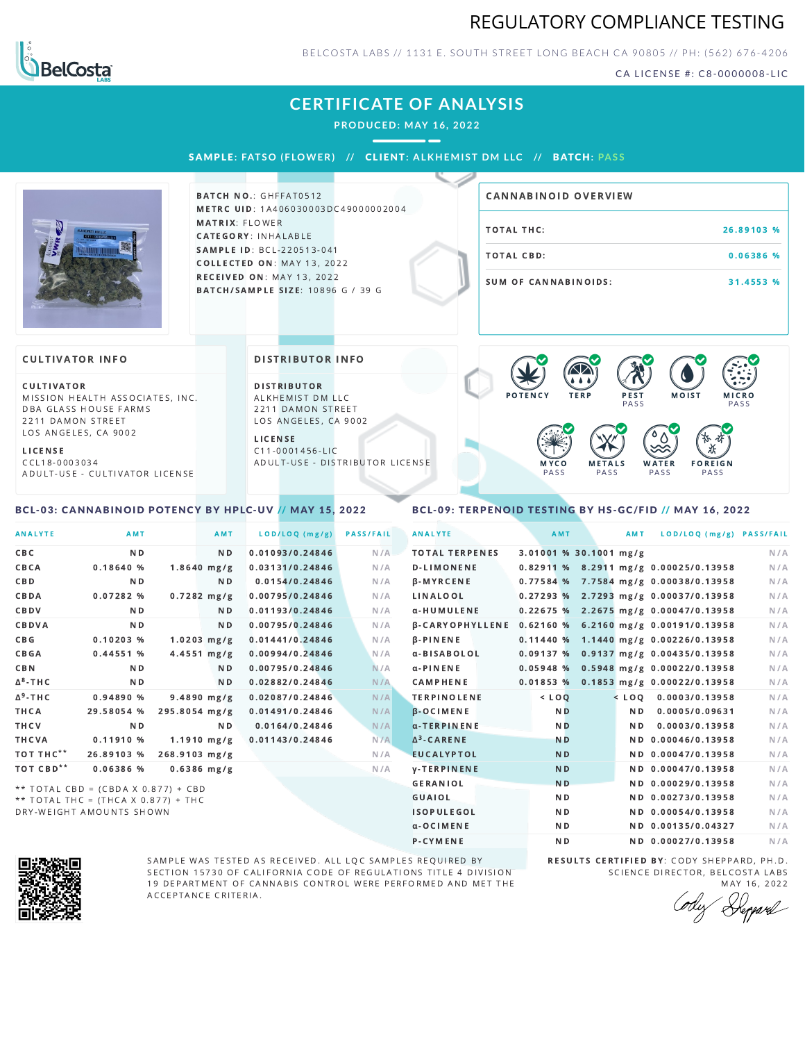## REGULATORY COMPLIANCE TESTING



BELCOSTA LABS // 1131 E. SOUTH STREET LONG BEACH C A 90805 // PH: (562) 676-4206

CA LICENSE #: C8-0000008-LIC

## **CERTIFICATE OF ANALYSIS**

**PRODUCED: MAY 16, 2022**

SAMPL E **: FATSO ( F LOWER) //** CL I ENT**: A LKHEMI ST DM L LC //** BATCH**: PA S S**



BATCH NO.: GHFFAT0512 METRC UID: 1A406030003DC49000002004 MATRIX: FLOWER CATEGORY: INHALABLE SAMPLE ID: BCL-220513-041 COLLECTED ON: MAY 13, 2022 **RECEIVED ON: MAY 13, 2022** BATCH/SAMPLE SIZE: 10896 G / 39 G

# TOTAL THC: 26.89103 % TOTAL CBD: 0.06386 % SUM OF CANNABINOIDS: 31.4553 % CANNABINOID OVERVIEW

#### **CULTIVATOR INFO**

CULTIVATOR MISSION HEALTH ASSOCIATES, INC. DBA GLASS HOUSE FARMS 2211 DAMON STREET LOS ANGELES, CA 9002

L I C E N S E

C C L 1 8 - 0 0 0 3 0 3 4 A D U L T - U S E - C U L T I V A T O R L I CENSE

<span id="page-0-0"></span>BCL-03: CANNABINOID POTENCY BY HPLC-UV // MAY 15, 2022

#### DISTRIBUTOR INFO

D I STRIBUTOR ALKHEMIST DM LLC 2211 DAMON STREET LOS ANGELES, CA 9002

L I C E N S E C 1 1 - 0 0 0 1 4 5 6 - L I C A D U L T - U S E - D I STRIBUTOR LICENSE



### <span id="page-0-1"></span>BCL-09: TERPENOID TESTING BY HS-GC/FID // MAY 16, 2022

| <b>ANALYTE</b>        | AMT                                 |               | AMT                     | LOD/LOQ (mg/g)  | <b>PASS/FAIL</b> | <b>ANALYTE</b>         | AMT                    | <b>AMT</b>     | LOD/LOQ (mg/g) PASS/FAIL                 |     |
|-----------------------|-------------------------------------|---------------|-------------------------|-----------------|------------------|------------------------|------------------------|----------------|------------------------------------------|-----|
| CBC                   | N <sub>D</sub>                      |               | N <sub>D</sub>          | 0.01093/0.24846 | N/A              | <b>TOTAL TERPENES</b>  | 3.01001 % 30.1001 mg/g |                |                                          | N/A |
| CBCA                  | 0.18640%                            |               | $1.8640$ mg/g           | 0.03131/0.24846 | N/A              | <b>D-LIMONENE</b>      |                        |                | 0.82911 % 8.2911 mg/g 0.00025/0.13958    | N/A |
| <b>CBD</b>            | N <sub>D</sub>                      |               | N <sub>D</sub>          | 0.0154/0.24846  | N/A              | β-MYRCENE              |                        |                | 0.77584 % 7.7584 mg/g 0.00038/0.13958    | N/A |
| CBDA                  | 0.07282 %                           |               | $0.7282$ mg/g           | 0.00795/0.24846 | N/A              | <b>LINALOOL</b>        |                        |                | $0.27293$ % 2.7293 mg/g 0.00037/0.13958  | N/A |
| CBDV                  | N <sub>D</sub>                      |               | N <sub>D</sub>          | 0.01193/0.24846 | N/A              | α-HUMULENE             |                        |                | 0.22675 % 2.2675 mg/g 0.00047/0.13958    | N/A |
| CBDVA                 | N <sub>D</sub>                      |               | N <sub>D</sub>          | 0.00795/0.24846 | N/A              | <b>B-CARYOPHYLLENE</b> |                        |                | 0.62160 % 6.2160 mg/g 0.00191/0.13958    | N/A |
| C B G                 | $0.10203$ %                         |               | $1.0203$ mg/g           | 0.01441/0.24846 | N/A              | $\beta$ -PINENE        |                        |                | $0.11440 \%$ 1.1440 mg/g 0.00226/0.13958 | N/A |
| <b>CBGA</b>           | 0.44551%                            |               | $4.4551 \, \text{mg/g}$ | 0.00994/0.24846 | N/A              | α-BISABOLOL            |                        |                | $0.09137%$ 0.9137 mg/g 0.00435/0.13958   | N/A |
| CBN                   | N <sub>D</sub>                      |               | N <sub>D</sub>          | 0.00795/0.24846 | N/A              | $\alpha$ -PINENE       |                        |                | $0.05948$ % 0.5948 mg/g 0.00022/0.13958  | N/A |
| $\Delta^8$ -THC       | N <sub>D</sub>                      |               | N <sub>D</sub>          | 0.02882/0.24846 | N/A              | <b>CAMPHENE</b>        | 0.01853%               |                | 0.1853 mg/g 0.00022/0.13958              | N/A |
| $\Delta^9$ -THC       | 0.94890 %                           |               | $9.4890$ mg/g           | 0.02087/0.24846 | N/A              | <b>TERPINOLENE</b>     | $<$ LOO                |                | $<$ LOO 0.0003/0.13958                   | N/A |
| THCA                  | 29.58054 %                          | 295.8054 mg/g |                         | 0.01491/0.24846 | N/A              | <b>B-OCIMENE</b>       | N <sub>D</sub>         | N <sub>D</sub> | 0.0005/0.09631                           | N/A |
| THCV                  | <b>ND</b>                           |               | N <sub>D</sub>          | 0.0164/0.24846  | N/A              | α-TERPINENE            | N <sub>D</sub>         | N <sub>D</sub> | 0.0003/0.13958                           | N/A |
| THCVA                 | 0.11910 %                           |               | $1.1910$ mg/g           | 0.01143/0.24846 | N/A              | $\Delta^3$ -CARENE     | <b>ND</b>              |                | ND 0.00046/0.13958                       | N/A |
| TOT THC <sup>**</sup> | 26.89103 %                          | 268.9103 mg/g |                         |                 | N/A              | <b>EUCALYPTOL</b>      | <b>ND</b>              |                | ND 0.00047/0.13958                       | N/A |
| TOT CBD <sup>**</sup> | 0.06386 %                           |               | $0.6386$ mg/g           |                 | N/A              | <b>V-TERPINENE</b>     | <b>ND</b>              |                | ND 0.00047/0.13958                       | N/A |
|                       | ** TOTAL CBD = (CBDA X 0.877) + CBD |               |                         |                 |                  | <b>GERANIOL</b>        | <b>ND</b>              |                | ND 0.00029/0.13958                       | N/A |
|                       | ** TOTAL THC = (THCA X 0.877) + THC |               |                         |                 |                  | <b>GUAIOL</b>          | <b>ND</b>              |                | ND 0.00273/0.13958                       | N/A |
|                       | DRY-WEIGHT AMOUNTS SHOWN            |               |                         |                 |                  | <b>ISOPULEGOL</b>      | <b>ND</b>              |                | ND 0.00054/0.13958                       | N/A |



SAMPLE WAS TESTED AS RECEIVED. ALL LQC SAMPLES REQUIRED BY SECTION 15730 OF CALIFORNIA CODE OF REGULATIONS TITLE 4 DIVISION 19 DEPARTMENT OF CANNABIS CONTROL WERE PERFORMED AND MET THE A C C E P T A N C E C R I T E R I A.

RESULTS CERTIFIED BY: CODY SHEPPARD, PH.D. SCIENCE DIRECTOR, BELCOSTA LABS MAY 16, 2022

α-OCIMENE ND ND ND 0.00135/0.04327 N/A P-CYMENE ND ND ND 0.00027/0.13958 N/A

Deppard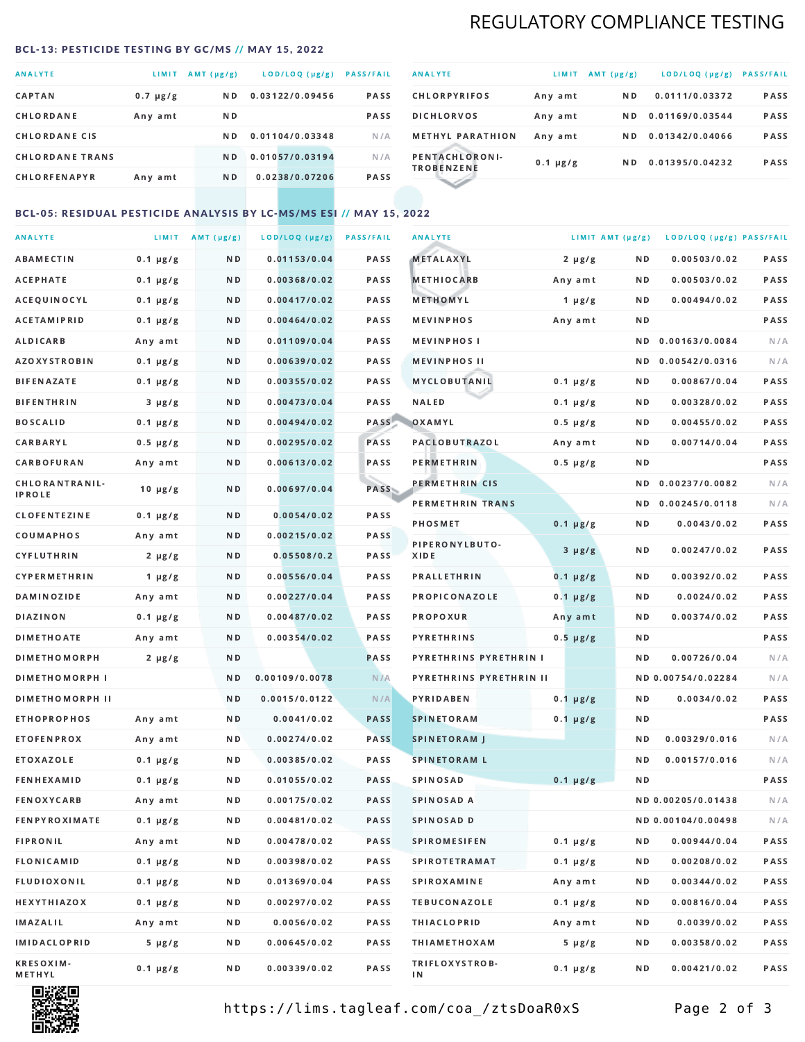## REGULATORY COMPLIANCE TESTING

#### <span id="page-1-0"></span>BCL-13: PESTICIDE TESTING BY GC/MS // MAY 15, 2022

| <b>ANALYTE</b>         | LIMIT.        | AMT (µg/g)     | LOD/LOQ (µg/g)  | <b>PASS/FAIL</b> |
|------------------------|---------------|----------------|-----------------|------------------|
| <b>CAPTAN</b>          | $0.7 \mu g/g$ | N <sub>D</sub> | 0.03122/0.09456 | <b>PASS</b>      |
| CHLORDANE              | Any amt       | ND.            |                 | <b>PASS</b>      |
| <b>CHLORDANE CIS</b>   |               | ND.            | 0.01104/0.03348 | N/A              |
| <b>CHLORDANE TRANS</b> |               | N <sub>D</sub> | 0.01057/0.03194 | N/A              |
| <b>CHLORFENAPYR</b>    | Any amt       | N D            | 0.0238/0.07206  | <b>PASS</b>      |

| <b>ANALYTE</b>                      | LIMIT         | $AMT(\mu g/g)$ | LOD/LOQ (µg/g)  | <b>PASS/FAIL</b> |
|-------------------------------------|---------------|----------------|-----------------|------------------|
| <b>CHLORPYRIFOS</b>                 | Any amt       | N <sub>D</sub> | 0.0111/0.03372  | <b>PASS</b>      |
| <b>DICHLORVOS</b>                   | Any amt       | N D            | 0.01169/0.03544 | <b>PASS</b>      |
| <b>METHYL PARATHION</b>             | Any amt       | ND.            | 0.01342/0.04066 | <b>PASS</b>      |
| PENTACHLORONI-<br><b>TROBENZENE</b> | $0.1 \mu g/g$ | ND.            | 0.01395/0.04232 | <b>PASS</b>      |
|                                     |               |                |                 |                  |

### BCL-05: RESIDUAL PESTICIDE ANALYSIS BY LC-MS/MS ESI // MAY 15, 2022

| <b>ANALYTE</b>             |               | LIMIT AMT $(\mu g/g)$ | LOD/LOQ (µg/g) | <b>PASS/FAIL</b> | <b>ANALYTE</b>          | LIMIT AMT (µg/g) |     | LOD/LOQ (µg/g) PASS/FAIL |      |
|----------------------------|---------------|-----------------------|----------------|------------------|-------------------------|------------------|-----|--------------------------|------|
| ABAMECTIN                  | $0.1 \mu g/g$ | N D                   | 0.01153/0.04   | PASS             | <b>METALAXYL</b>        | $2 \mu g/g$      | N D | 0.00503/0.02             | PASS |
| <b>ACEPHATE</b>            | $0.1 \mu g/g$ | N D                   | 0.00368/0.02   | PASS             | <b>METHIOCARB</b>       | Any amt          | N D | 0.00503/0.02             | PASS |
| ACEQUINOCYL                | $0.1 \mu g/g$ | N D                   | 0.00417/0.02   | PASS             | METHOMYL                | $1 \mu g/g$      | N D | 0.00494/0.02             | PASS |
| ACETAMIPRID                | $0.1 \mu g/g$ | N D                   | 0.00464/0.02   | PASS             | <b>MEVINPHOS</b>        | Any amt          | N D |                          | PASS |
| <b>ALDICARB</b>            | Any amt       | N D                   | 0.01109/0.04   | <b>PASS</b>      | <b>MEVINPHOSI</b>       |                  | N D | 0.00163/0.0084           | N/A  |
| AZOXYSTROBIN               | $0.1 \mu g/g$ | N D                   | 0.00639/0.02   | PASS             | <b>MEVINPHOS II</b>     |                  | N D | 0.00542/0.0316           | N/A  |
| <b>BIFENAZATE</b>          | $0.1 \mu g/g$ | N D                   | 0.00355/0.02   | PASS             | <b>MYCLOBUTANIL</b>     | $0.1 \mu g/g$    | N D | 0.00867/0.04             | PASS |
| <b>BIFENTHRIN</b>          | $3 \mu g/g$   | N D                   | 0.00473/0.04   | PASS             | <b>NALED</b>            | $0.1 \mu g/g$    | N D | 0.00328/0.02             | PASS |
| <b>BOSCALID</b>            | $0.1 \mu g/g$ | N D                   | 0.00494/0.02   | PASS             | OXAMYL                  | $0.5 \mu g/g$    | N D | 0.00455/0.02             | PASS |
| CARBARYL                   | $0.5 \mu g/g$ | N D                   | 0.00295/0.02   | PASS             | PACLOBUTRAZOL           | Any amt          | N D | 0.00714/0.04             | PASS |
| CARBOFURAN                 | Any amt       | N D                   | 0.00613/0.02   | PASS             | PERMETHRIN              | $0.5 \mu g/g$    | N D |                          | PASS |
| CHLORANTRANIL-             | $10 \mu g/g$  | N D                   | 0.00697/0.04   | PASS             | PERMETHRIN CIS          |                  | N D | 0.00237/0.0082           | N/A  |
| IPROLE                     |               |                       |                |                  | PERMETHRIN TRANS        |                  |     | ND 0.00245/0.0118        | N/A  |
| <b>CLOFENTEZINE</b>        | $0.1 \mu g/g$ | ND.                   | 0.0054/0.02    | PASS             | <b>PHOSMET</b>          | $0.1 \mu g/g$    | N D | 0.0043/0.02              | PASS |
| COUMAPHOS                  | Any amt       | N D                   | 0.00215/0.02   | PASS             | PIPERONYLBUTO-          | $3 \mu g/g$      | N D | 0.00247/0.02             | PASS |
| CYFLUTHRIN                 | $2 \mu g/g$   | ND.                   | 0.05508/0.2    | PASS             | XIDE                    |                  |     |                          |      |
| CYPERMETHRIN               | $1 \mu g/g$   | N D                   | 0.00556/0.04   | PASS             | <b>PRALLETHRIN</b>      | $0.1 \mu g/g$    | N D | 0.00392/0.02             | PASS |
| <b>DAMINOZIDE</b>          | Any amt       | N D                   | 0.00227/0.04   | PASS             | PROPICONAZOLE           | $0.1 \mu g/g$    | N D | 0.0024/0.02              | PASS |
| <b>DIAZINON</b>            | $0.1 \mu g/g$ | N D                   | 0.00487/0.02   | <b>PASS</b>      | PROPOXUR                | Any amt          | N D | 0.00374/0.02             | PASS |
| <b>DIMETHOATE</b>          | Any amt       | N D                   | 0.00354/0.02   | PASS             | <b>PYRETHRINS</b>       | $0.5 \mu g/g$    | N D |                          | PASS |
| <b>DIMETHOMORPH</b>        | $2 \mu g/g$   | N D                   |                | PASS             | PYRETHRINS PYRETHRIN I  |                  | ND. | 0.00726/0.04             | N/A  |
| <b>DIMETHOMORPH I</b>      |               | N D                   | 0.00109/0.0078 | N/A              | PYRETHRINS PYRETHRIN II |                  |     | ND 0.00754/0.02284       | N/A  |
| <b>DIMETHOMORPH II</b>     |               | N D                   | 0.0015/0.0122  | N/A              | <b>PYRIDABEN</b>        | $0.1 \mu g/g$    | N D | 0.0034/0.02              | PASS |
| <b>ETHOPROPHOS</b>         | Any amt       | N D                   | 0.0041/0.02    | <b>PASS</b>      | <b>SPINETORAM</b>       | $0.1 \mu g/g$    | N D |                          | PASS |
| <b>ETOFENPROX</b>          | Any amt       | N D                   | 0.00274/0.02   | <b>PASS</b>      | <b>SPINETORAM J</b>     |                  | N D | 0.00329/0.016            | N/A  |
| ETOXAZOLE                  | $0.1 \mu g/g$ | N D                   | 0.00385/0.02   | <b>PASS</b>      | <b>SPINETORAM L</b>     |                  | ND  | 0.00157/0.016            | N/A  |
| <b>FENHEXAMID</b>          | $0.1 \mu g/g$ | N D                   | 0.01055/0.02   | <b>PASS</b>      | SPINOSAD                | $0.1 \mu g/g$    | N D |                          | PASS |
| <b>FENOXYCARB</b>          | Any amt       | N D                   | 0.00175/0.02   | PASS             | SPINOSAD A              |                  |     | ND 0.00205/0.01438       | N/A  |
| <b>FENPYROXIMATE</b>       | $0.1 \mu g/g$ | N D                   | 0.00481/0.02   | PASS             | SPINOSAD D              |                  |     | ND 0.00104/0.00498       | N/A  |
| <b>FIPRONIL</b>            | Any amt       | N D                   | 0.00478/0.02   | PASS             | <b>SPIROMESIFEN</b>     | $0.1 \mu g/g$    | N D | 0.00944/0.04             | PASS |
| <b>FLONICAMID</b>          | $0.1 \mu g/g$ | N D                   | 0.00398/0.02   | PASS             | <b>SPIROTETRAMAT</b>    | $0.1 \mu g/g$    | N D | 0.00208/0.02             | PASS |
| FLUDIOXONIL                | $0.1 \mu g/g$ | N D                   | 0.01369/0.04   | PASS             | <b>SPIROXAMINE</b>      | Any amt          | N D | 0.00344/0.02             | PASS |
| HEXYTHIAZOX                | $0.1 \mu g/g$ | N D                   | 0.00297/0.02   | PASS             | <b>TEBUCONAZOLE</b>     | $0.1 \mu g/g$    | N D | 0.00816/0.04             | PASS |
| IMAZALIL                   | Any amt       | N D                   | 0.0056/0.02    | PASS             | <b>THIACLOPRID</b>      | Any amt          | N D | 0.0039/0.02              | PASS |
| IMIDACLOPRID               | $5 \mu g/g$   | N D                   | 0.00645/0.02   | PASS             | <b>THIAMETHOXAM</b>     | $5 \mu g/g$      | N D | 0.00358/0.02             | PASS |
| <b>KRESOXIM-</b><br>METHYL | $0.1 \mu g/g$ | N D                   | 0.00339/0.02   | PASS             | TRIFLOXYSTROB-<br>ΙN    | $0.1 \mu g/g$    | N D | 0.00421/0.02             | PASS |